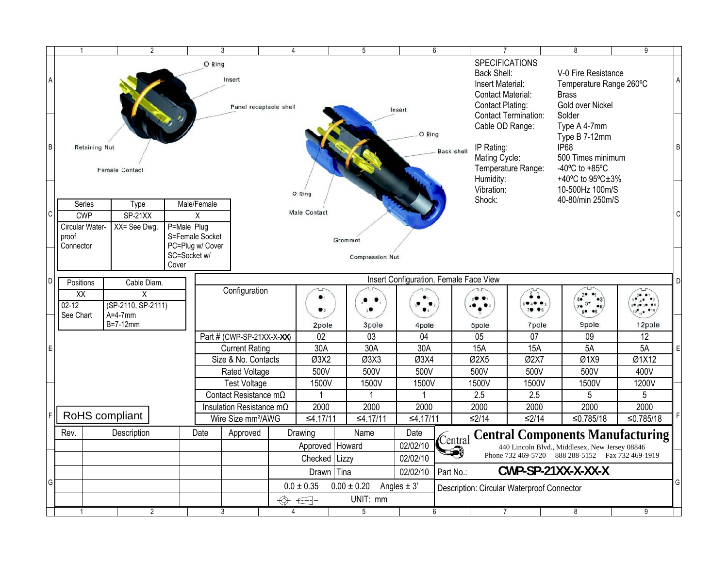|                | $\overline{1}$                                                                                      | $\overline{2}$                                                         |                                                                                                  |                                  | 3                                                                | $\overline{4}$ |                             |                                    | 5               |                                                                                                                                         | 6                                                                                 | $\overline{7}$                                                                               |                                                                                                                               | 8         | 9               |   |
|----------------|-----------------------------------------------------------------------------------------------------|------------------------------------------------------------------------|--------------------------------------------------------------------------------------------------|----------------------------------|------------------------------------------------------------------|----------------|-----------------------------|------------------------------------|-----------------|-----------------------------------------------------------------------------------------------------------------------------------------|-----------------------------------------------------------------------------------|----------------------------------------------------------------------------------------------|-------------------------------------------------------------------------------------------------------------------------------|-----------|-----------------|---|
| $\overline{A}$ |                                                                                                     |                                                                        | O Ring<br>Insert                                                                                 | Panel receptacle shell<br>Insert |                                                                  |                |                             |                                    |                 | <b>SPECIFICATIONS</b><br>Back Shell:<br>Insert Material:<br><b>Contact Material:</b><br>Contact Plating:<br><b>Contact Termination:</b> |                                                                                   | V-0 Fire Resistance<br>Temperature Range 260°C<br><b>Brass</b><br>Gold over Nickel<br>Solder |                                                                                                                               |           |                 |   |
| B              | <b>Retaining Nut</b>                                                                                | <b>Female Contact</b>                                                  |                                                                                                  |                                  |                                                                  |                | O Ring<br><b>Back shell</b> |                                    |                 |                                                                                                                                         | Cable OD Range:<br>IP Rating:<br>Mating Cycle:<br>Temperature Range:<br>Humidity: |                                                                                              | Type A 4-7mm<br>Type B 7-12mm<br><b>IP68</b><br>500 Times minimum<br>-40 $^{\circ}$ C to +85 $^{\circ}$ C<br>+40°C to 95°C±3% |           | B               |   |
| C              | Series<br><b>CWP</b><br>Circular Water-<br>proof<br>Connector                                       | Male/Female<br>X<br>P=Male Plug<br>S=Female Socket<br>PC=Plug w/ Cover | Vibration:<br>10-500Hz 100m/S<br>O Ring<br>Shock:<br>40-80/min 250m/S<br>Male Contact<br>Grommet |                                  |                                                                  |                |                             |                                    |                 |                                                                                                                                         |                                                                                   |                                                                                              |                                                                                                                               |           |                 |   |
| D              | Positions                                                                                           | Cable Diam.                                                            | SC=Socket w/<br>Cover                                                                            |                                  | <b>Compression Nut</b><br>Insert Configuration, Female Face View |                |                             |                                    |                 |                                                                                                                                         |                                                                                   |                                                                                              |                                                                                                                               |           |                 |   |
|                | $\overline{XX}$<br>X<br>(SP-2110, SP-2111)<br>$02 - 12$<br>See Chart<br>$A=4-7$ mm<br>$B = 7-12$ mm |                                                                        | Configuration                                                                                    |                                  |                                                                  | 2pole          |                             | $\bullet$ $\bullet$<br>÷.<br>3pole | 4pole           |                                                                                                                                         | $\ddot{\bullet}$ $\dot{\bullet}$<br>∙.∙<br>79 06<br>7pole<br>5pole                |                                                                                              | 9pole                                                                                                                         | 12pole    |                 |   |
|                |                                                                                                     |                                                                        |                                                                                                  | Part # (CWP-SP-21XX-X-XX)        |                                                                  |                | 02                          |                                    | $\overline{03}$ | $\overline{04}$                                                                                                                         |                                                                                   | 05                                                                                           | 07                                                                                                                            | 09        | $\overline{12}$ |   |
| $\mathsf E$    |                                                                                                     |                                                                        |                                                                                                  |                                  | <b>Current Rating</b>                                            |                | 30A<br>Ø3X2                 |                                    | 30A             | 30A                                                                                                                                     |                                                                                   | 15A                                                                                          | <b>15A</b>                                                                                                                    | 5A        | 5A              | Е |
|                |                                                                                                     |                                                                        |                                                                                                  | Size & No. Contacts              |                                                                  | Ø3X3           |                             |                                    | Ø3X4            |                                                                                                                                         | Ø2X5                                                                              | Ø2X7                                                                                         | Q1X9                                                                                                                          | Ø1X12     |                 |   |
|                |                                                                                                     |                                                                        |                                                                                                  | Rated Voltage                    |                                                                  |                | 500V                        |                                    | 500V            | 500V                                                                                                                                    |                                                                                   | 500V                                                                                         | 500V                                                                                                                          | 500V      | 400V            |   |
|                |                                                                                                     |                                                                        |                                                                                                  | Test Voltage                     |                                                                  |                | 1500V                       |                                    | 1500V           | 1500V                                                                                                                                   |                                                                                   | 1500V                                                                                        | 1500V                                                                                                                         | 1500V     | 1200V           |   |
|                |                                                                                                     |                                                                        |                                                                                                  | Contact Resistance $m\Omega$     |                                                                  |                |                             |                                    |                 |                                                                                                                                         |                                                                                   | 2.5                                                                                          | 2.5                                                                                                                           | 5         | 5               |   |
|                |                                                                                                     | Insulation Resistance $m\Omega$                                        |                                                                                                  |                                  | 2000                                                             |                | 2000                        | 2000                               |                 | 2000                                                                                                                                    | 2000                                                                              | 2000                                                                                         | 2000                                                                                                                          |           |                 |   |
| F              |                                                                                                     | RoHS compliant                                                         |                                                                                                  | Wire Size mm <sup>2</sup> /AWG   |                                                                  |                | ≤4.17/11                    |                                    | ≤4.17/11        | ≤4.17/11                                                                                                                                |                                                                                   | $≤2/14$                                                                                      | $≤2/14$                                                                                                                       | ≤0.785/18 | ≤0.785/18       |   |
|                | Rev.                                                                                                | Description                                                            |                                                                                                  | Date                             | Approved                                                         |                | Drawing                     |                                    | Name            | Date                                                                                                                                    |                                                                                   |                                                                                              |                                                                                                                               |           |                 |   |
|                |                                                                                                     |                                                                        |                                                                                                  |                                  |                                                                  |                |                             | Approved   Howard                  |                 | Central<br>02/02/10                                                                                                                     |                                                                                   | <b>Central Components Manufacturing</b><br>440 Lincoln Blvd., Middlesex, New Jersey 08846    |                                                                                                                               |           |                 |   |
|                |                                                                                                     |                                                                        |                                                                                                  |                                  |                                                                  |                | Checked                     | Lizzy                              |                 | 02/02/10                                                                                                                                |                                                                                   | ધ•)<br>Phone 732 469-5720 888 288-5152 Fax 732 469-1919                                      |                                                                                                                               |           |                 |   |
|                |                                                                                                     |                                                                        |                                                                                                  |                                  |                                                                  |                | Drawn Tina                  |                                    |                 |                                                                                                                                         | Part No.:                                                                         | CWP-SP-21XX-X-XX-X                                                                           |                                                                                                                               |           |                 |   |
| G              |                                                                                                     |                                                                        |                                                                                                  |                                  |                                                                  |                | $0.0 \pm 0.35$              | $0.00 \pm 0.20$<br>Angles $\pm$ 3' |                 | 02/02/10                                                                                                                                |                                                                                   | <b>Description: Circular Waterproof Connector</b>                                            |                                                                                                                               |           |                 |   |
|                |                                                                                                     |                                                                        |                                                                                                  | UNIT: mm<br>$E^{-}$              |                                                                  |                |                             |                                    |                 |                                                                                                                                         |                                                                                   |                                                                                              |                                                                                                                               |           |                 |   |
|                |                                                                                                     | $\overline{2}$                                                         |                                                                                                  |                                  | 3                                                                | 4              |                             |                                    | $\overline{5}$  |                                                                                                                                         | 6                                                                                 | 7                                                                                            |                                                                                                                               | 8         | 9               |   |